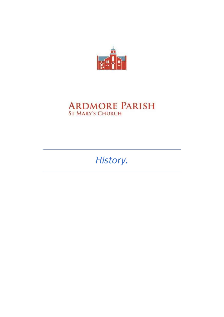

# **ARDMORE PARISH**<br>ST MARY'S CHURCH

History.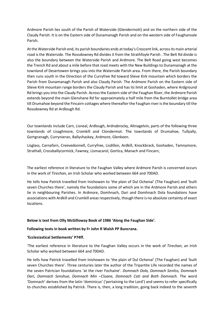Ardmore Parish lies south of the Parish of Waterside (Glendermott) and on the northern side of the Claudy Parish. It is on the Eastern side of Dunamanagh Parish and on the western side of Faughanvale Parish.

At the Waterside Parish end, its parish boundaries ends at today's Crescent link, across its main arterial road is the Waterside. The Rossdowney Rd divides it from the Strathfoyle Parish . The Belt Rd divide is also the boundary between the Waterside Parish and Ardmore. The Belt Road going west becomes the Trench Rd and about a mile before that road meets with the New Buildings to Dunamanagh at the townland of Desertowen brings you into the Waterside Parish area. From there, the Parish boundary then runs south in the Direction of the Curryfree Rd toward Slieve Kirk mountain which borders the Parish from Dunamanagh Parish and also Claudy Parish. The Ardmore Parish on the Eastern side of Slieve Kirk mountain range borders the Claudy Parish and has its limit at Goshaden, where Ardground Rd brings you into the Claudy Parish. Across the Eastern side of the Faughan River, the Ardmore Parish extends beyond the main Glenshane Rd for approximately a half mile from the Burntollet bridge area till Drumahoe beyond the Fincairn cottages where thereafter the Faughan river is the boundary till the Rossdowney Rd at Ardlough Rd.

Our townlands include Carn, Lisneal, Ardlough, Ardnabrocky, Altnagelvin, parts of the following three townlands of Lisaghmore, Cromkill and Clondermot. The townlands of Drumahoe, Tullyally, Gortgranagh, Currynieran, Ballyshaskey, Ardmore, Glenkeen.

Lisglass, Carnafarn, Creevedonnell, Curryfree, Lisdillon, Ardkill, Knockbrack, Goshaden, Tamnymore, Strathall, Crossballycormick, Fawney, Lismacarol, Gortica, Manach and Fincarn,

The earliest reference in literature to the Faughan Valley where Ardmore Parish is concerned occurs in the work of Tirechan, an Irish Scholar who worked between 664 and 700AD.

He tells how Patrick travelled from Inishowen to 'the plain of Dul Ochenai' (The Faughan) and 'built seven Churches there', namely the foundations some of which are in the Ardmore Parish and others lie in neighbouring Parishes. In Ardmore, Domhnach, Dari and Domhnach Dola foundations have associations with Ardkill and Crumkill areas respectively, though there is no absolute certainty of exact locations.

## Below is text from Olly McGilloway Book of 1986 'Along the Faughan Side'.

## Following texts in book written by Fr John R Walsh PP Buncrana.

#### 'Ecclesiastical Settlements' P74ff.

'The earliest reference in literature to the Faughan Valley occurs in the work of Tirechan, an Irish Scholar who worked between 664 and 700AD.

He tells how Patrick travelled from Inishowen to 'the plain of Dul Ochenai' (The Faughan) and 'built seven Churches there'. Three centuries later the author of the Tripartite Life recorded the names of the seven Patrician foundations 'at the river Fochaine'. Domnach Dola, Domnach Senliss, Domnach Dari, Domnach Senshue, Domnach Min –Cluane, Domnach Cati and Both Domnach. The word 'Domnach' derives from the latin 'dominicus' ('pertaining to the Lord') and seems to refer specifically to churches established by Patrick. There is, then, a long tradition, going back indeed to the seventh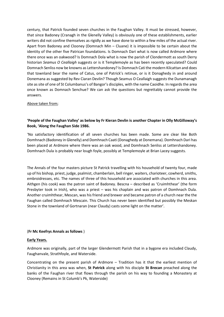century, that Patrick founded seven churches in the Faughan Valley. It must be stressed, however, that since Badoney (Cranagh in the Glenelly Valley) is obviously one of these establishments, earlier writers did not confine themselves as rigidly as we have done to within a few miles of the actual river. Apart from Badoney and Clooney (Domnach Min – Cluane) it is impossible to be certain about the identity of the other five Patrican foundations. Is Domnach Dari what is now called Ardmore where there once was an oakwood? Is Domnach Dola what is now the parish of Clondermott as south Derry historian Seamus O Ceallaigh suggests or is it Templemoyle as has been recently speculated? Could Domnach Senliss now be knowns as Lettershandoney? Is Domnach Cati the modern Kilcattan and does that townland bear the name of Catus, one of Patrick's retinue, or is it Donaghedy in and around Donemana as suggested by Rev Ciaran Devlin? Though Seamus O Ceallaigh suggests the Dunamanagh site as site of one of St Columbanus's of Bangor's disciples, with the name Caoidhe. In regards the area once known as Domnach Senchue? We can ask the questions but regrettably cannot provide the answers.

## Above taken from;

# 'People of the Faughan Valley' as below by Fr Kieran Devlin is another Chapter in Olly McGilloway's Book, 'Along the Faughan Side 1986.

'No satisfactory identification of all seven churches has been made. Some are clear like Both Domhnach (Badoney in Glenelly) and Domhnach Caati (Donaghedy at Donemana). Domhnach Dari has been placed at Ardmore where there was an oak wood, and Domhnach Senliss at Lettershandoney. Domhnach Dula is probably near lough foyle, possibly at Templemoyle at Brian Lacey suggests.

The Annals of the four masters picture St Patrick travelling with his household of twenty four, made up of his bishop, priest, judge, psalmist, chamberlain, bell ringer, waiters, charioteer, cowherd, smiths, embroidresses, etc. The names of three of this household are associated with churches in this area. Aithgen (his cook) was the patron saint of Badoney. Bescna – described as 'Cruimhthear' (the form Presbyter took in Irish), who was a priest – was his chaplain and was patron of Domhnach Dula. Another cruimhthear, Mescan, was his friend and brewer and became patron of a church near the the Faughan called Domhnach Mescain. This Church has never been identified but possibly the Meskan Stone in the townland of Gortnaran (near Claudy) casts some light on the matter'.

## (Fr Mc Keefrys Annals as follows )

## Early Years.

Ardmore was originally, part of the larger Glendermott Parish that in a bygone era included Claudy, Faughanvale, Strathfoyle, and Waterside.

Concentrating on the present parish of Ardmore – Tradition has it that the earliest mention of Christianity in this area was when, St Patrick along with his disciple St Brecan preached along the banks of the Faughan river that flows through the parish on his way to founding a Monastery at Clooney (Remains in St Columb's Pk, Waterside)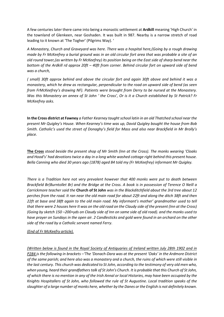A few centuries later there came into being a monastic settlement at Ardkill meaning 'High Church' in the townland of Glenkeen, near Goshaden. It was built in 987. Nearby is a narrow stretch of road leading to it known at 'The Togher' (Pilgrims Way). '

A Monastery, Church and Graveyard was here. There was a hospital here,(Going by a rough drawing made by Fr McKeefrey a burial ground was in an old circular fort area that was probable a site of an old round tower,(as written by Fr McKeefrey) its position being on the East side of sharp bend near the bottom of the Ardkill rd approx 20ft – 40ft from corner. Behind circular fort on upward side of bend was a church,

( small) 30ft approx behind and above the circular fort and again 30ft above and behind it was a monastery, which he drew as rectangular, perpendicular to the road on upward side of bend (as seen from FrMcKeefrey's drawing NF). Patients were brought from Derry to be nursed at the Monastery. Was this Monastery an annex of St John ' the Cross', Or is it a Church established by St Patrick? Fr McKeefrey asks.

In the Cross district at Fawney a Father Kearney taught school latin in an old Thatched school near the present Mr Quigley's House. When Kearney's time was up, David Quigley bought the house from Bob Smith. Catholic's used the street of Donaghy's field for Mass and also near Brackfield in Mr Brolly's place.

The Cross stood beside the present shop of Mr Smith (Inn at the Cross). The monks wearing 'Cloaks and Hood's' had devotions twice a day in a long white washed cottage right behind this present house. Bella Canning who died 30 years ago (1878) aged 84 told my (Fr McKeefrey) informant Mr Quigley.

There is a Tradition here not very prevalent however that 400 monks were put to death between Brackfield Br(Burntollet Br) and the Bridge at the Cross. A book is in possession of Terence O Neill a Carrickmore teacher said the Church of St John was in the Blackditchfield about the 3rd tree about 12 perches from the road. It ran near the old main road for about 22ft and along the ditch 38ft and then 22ft at base and 38ft again to the old main road. My informant's mother' grandmother used to tell that there were 2 houses here It was on the old road on the Claudy side of the present (Inn at the Cross) (Going by sketch 150 –200+yds on Claudy side of Inn on same side of old road). and the monks used to have prayer on Sundays in the open air. 2 Candlesticks and gold were found in an orchard on the other side of the road by a Catholic servant named Ferry.

# (End of Fr McKeefry article).

(Written below is found in the Royal Society of Antiquaries of Ireland written July 28th 1902 and in P284 is the following in brackets –'The 'Donach-Dara was at the present 'Oaks' in the Ardmore District of the same parish; and here also was a monastery and a church, the ruins of which were still visible in the last century. This church was dedicated to St John, according to the testimony of very old men who, when young, heard their grandfathers talk of St John's Church. It is probable that this Church of St John, of which there is no mention in any of the Irish Annal or local Histories, may have been occupied by the Knights Hospitallers of St John, who followed the rule of St Augustine. Local tradition speaks of the slaughter of a large number of monks here, whether by the Danes or the English is not definitely known.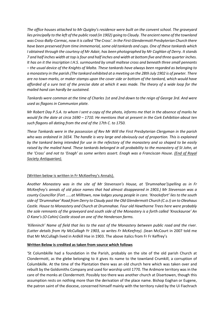The office houses attached to Mr Quigley's residence were built on the convent school. The graveyard lies principally to the left of the public road (in 1902) going to Claudy. The ancient name of the townland was Cross-Bally-Cormac, now it is called 'The Cross'. In the First Glendermott Presbyterian Church there have been preserved from time immemorial, some old tankards and cups. One of these tankards which I obtained through the courtesy of Mr Adair, has been photographed by Mr Coghlan of Derry. It stands 7 and half inches width at top is four and half inches and width at bottom five and three quarter inches. It has on it the inscription I.H.S. surmounted by small maltese cross and beneath three small pennants – the usual device of the Knights of Malta. These tankards have always been regarded as belonging to a monastery in the parish.(The tankard exhibited at a meeting on the 28th July 1902 is of pewter. There are no town marks, or maker stamps upon the cover side or bottom of the tankard, which would have afforded of a sure test of the precise date at which it was made. The theory of a wide loop for the mailed hand can hardly be sustained.

Tankards were common at the time of Charles 1st and 2nd down to the reign of George 3rd. And were used as flagons in Communion plate.

Mr Robert Day P.S.A. to whom I sent a copy of the photo, informs me that in the absence of marks he would fix the date at circa 1690 – 1710. He mentions that at present in the Cork Exhibition about ten such flagons all dating from the end of the 17th C. to 1750.

These Tankards were in the possession of Rev Mr Will the First Presbyterian Clergyman in the parish who was ordained in 1654. The handle is very large and obviously out of proportion. This is explained by the tankard being intended for use in the refectory of the monastery and so shaped to be easily raised by the mailed hand. These tankards belonged in all probability to the monastery of St John, at the 'Cross' and not to 'Enagh' as some writers assert. Enagh was a Franciscan House. (End of Royal Society Antiquarian).

# (Written below is written in Fr McKeefrey's Annals).

Another Monastery was in the site of Mr Stevenson's House, at 'Drumnahae'(spelling as in Fr McKeefrey's annals of old place names that had almost disappeared in 1903.) Mr Stevenson was a county Councillor (Fort ……at Milltown, now lodges young people in care. 'Knockefort' lies to the south side of 'Drumnahae' Road from Derry to Claudy past the Old Glendermott Church (C.o.I) on to Oleahaus Castle. House to Monastery and Church at Drumnahae. Four old Hawthorne Trees here were probably the sole remnants of the graveyard and south side of the Monastery is a forth called 'Knockauroe' An O Kane's (O Cahin) Castle stood on one of the Henderson farms.

'Killeninch' Name of field that lies to the east of the Monastery between public road and the river. (Latter details from Hy McCullagh Yr 1903, so writes Fr McKeefrey). (Jean McCourt in 2007 told me that Mr McCullagh lived in Ardkill Hse in 1903. The above italics from Fr Fr Keffrey's

## Written Below is credited as taken from source which follows

'St Columbkille had a foundation in the Parish, probably on the site of the old parish Church at Clondermott, as the glebe belonging to it gives its name to the townland Crumkill, a corruption of Columbkille. At the time of the Plantation there was an old church here which was taken over and rebuilt by the Goldsmiths Company and used for worship until 1770. The Ardmore territory was in the care of the monks at Clondermott. Possibly too there was another church at Disertowen, though this assumption rests on nothing more than the derivation of the place name. Bishop Eoghan or Eugene, the patron saint of the diocese, concerned himself mainly with the territory ruled by the Ui Fiachrach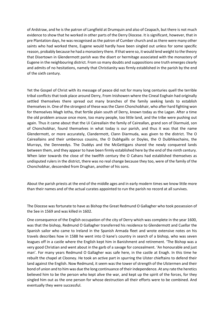of Ardstraw, and he is the patron of Langfield at Drumquin and also of Ceapach, but there is not much evidence to show that he worked in other parts of the Derry Diocese. It is significant, however, that in pre Plantation days, he was recognised as the patron of Cumber church and as there were many other saints who had worked there, Eugene would hardly have been singled out unless for some specific reason, probably because he had a monastery there. If that were so, it would lend weight to the theory that Disertown in Glendermott parish was the disert or hermitage associated with the monastery of Eugene in the neighbouring district. From so many doubts and suppositions one truth emerges clearly and admits of no hesitations, namely that Christianity was firmly established in the parish by the end of the sixth century.

Yet the Gospel of Christ with its message of peace did not for many long centuries quell the terrible tribal conflicts that took place around Derry, From Inishowen where the Cineal Eoghain had originally settled themselves there spread out many branches of the family seeking lands to establish themselves in. One of the strongest of these was the Clann Chonchobhair, who after hard fighting won for themselves Magh Iotha, that fertile plain south of Derry, known today as the Lagan. After a time the old problem arouse once more, too many people, too little land, and the tribe were pushing out again. Thus it came about that the Ui Caireallain the family of Caireallan, grand son of Diarmuid, son of Chonchobhar, found themselves in what today is our parish, and thus it was that the name Glendermott, or more accurately, Clandermott, Clann Diarmuda, was given to the district. The O Caireallains and their umberous cousins, the O Dubhgaills or Doyles, the O Duibhleachains, the Murrays, the Denneedys. The Duddys and the McGettigans shared the newly conquered lands between them, and they appear to have been firmly established here by the end of the ninth century. When later towards the close of the twelfth century the O Cahans had established themselves as undisputed rulers in the district, there was no real change because they too, were of the family of the Chonchobhar, descended from Drughan, another of his sons.

About the parish priests at the end of the middle ages and in early modern times we know little more than their names and of the actual curates appointed to run the parish no record at all survives.

The Diocese was fortunate to have as Bishop the Great Redmund O Gallagher who took possession of the See in 1569 and was killed in 1602.

One consequence of the English occupation of the city of Derry which was complete in the year 1600, was that the bishop, Redmund O Gallagher transferred his residence to Glendermott and Cuellar the Spanish sailor who came to Ireland in the Spanish Armada fleet and wrote extensive notes on his travels describes how in 1588 he went into O kane's country in search of a bishop, who was seven leagues off in a castle where the English kept him in Banishment and retirement. 'The Bishop was a very good Christian and went about in the garb of a savage for concealment. 'An honourable and just man'. For many years Redmund O Gallagher was safe here, in the castle at Enagh. In this time he rebuilt the chapel at Clooney. He took an active part in spurring the Ulster chieftains to defend their land against the English. Now Redmund, it seem was the tower of strength of the Ulstermen and their bond of union and to him was due the long continuance of their independence. At any rate the heretics believed him to be the person who kept alive the war, and kept up the spirit of the forces, for they singled him out as the one person for whose destruction all their efforts were to be combined. And eventually they were successful.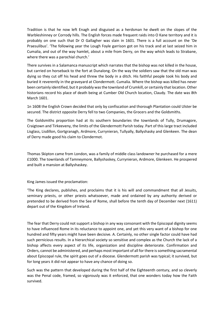Tradition is that he now left Enagh and disguised as a herdsman he dwelt on the slopes of the Warbleshinney or Corrody hills. The English forces made frequent raids into O Kane territory and it is probably on one such that Dr O Gallagher was slain in 1601. There is a full account on the 'De Praesulibus'. 'The following year the Lough Foyle garrison got on his track and at last seized him in Cumalia, and out of the way hamlet, about a mile from Derry, on the way which leads to Strabane, where there was a parochial church.'

There survives in a Salamanca manuscript which narrates that the bishop was not killed in the house, but carried on horseback to the fort at Dunalong. On the way the soldiers saw that the old man was dying so they cut off his head and threw the body in a ditch. His faithful people took his body and buried it reverently in the graveyard at Clondermott. Cumalia. Where the bishop was killed has never been certainly identified, but it probably was the townland of Crumkill, or certainly that location. Other historians record his place of death being at Cumber Old Church location, Claudy. The date was 8th March 1601.

1n 1608 the English Crown decided that only by confiscation and thorough Plantation could Ulster be secured. The district opposite Derry fell to two Companies, the Grocers and the Goldsmiths.

The Goldsmiths proportion had at its southern boundaries the townlands of Tully, Drumagore, Craigtown and Tirkeeveny, the limits of the Glendermott Parish today. Part of this large tract included Lisglass, Lisdillon, Gortgranagh, Ardmore, Currynieran, Tullyally, Ballyshasky and Glenkeen. The dean of Derry made good his claim to Clondermot.

Thomas Skipton came from London, was a family of middle class landowner he purchased for a mere £1000. The townlands of Tamneymore, Ballyshaskey, Currynieran, Ardmore, Glenkeen. He prospered and built a mansion at Ballyshaskey.

King James issued the proclamation:

'The King declares, publishes, and proclaims that it is his will and commandment that all Jesuits, seminary priests, or other priests whatsoever, made and ordained by any authority derived or pretended to be derived from the See of Rome, shall before the tenth day of December next (1611) depart out of the Kingdom of Ireland.

The fear that Derry could not support a bishop in any way consonant with the Episcopal dignity seems to have influenced Rome in its reluctance to appoint one, and yet this very want of a bishop for one hundred and fifty years might have been decisive. A. Certainly, no other single factor could have had such pernicious results. In a hierarchical society so sensitive and complex as the Church the lack of a bishop affects every aspect of its life, organization and discipline deteriorate. Confirmation and Orders, cannot be administered, and perhaps most important of all for there is something sacramental about Episcopal rule, the spirit goes out of a diocese. Glendermott parish was typical; it survived, but for long years it did not appear to have any chance of doing so.

Such was the pattern that developed during the first half of the Eighteenth century, and so cleverly was the Penal code, framed, so vigorously was it enforced, that one wonders today how the Faith survived.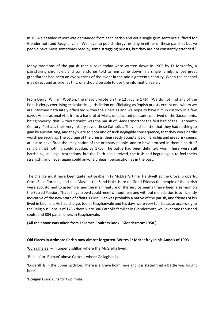In 1694 a detailed report was demanded from each parish and yet a single grim sentence sufficed for Glendermott and Faughanvale. 'We have no popish clergy residing in either of these parishes but ye people have Mass sometimes read by some straggling priests, but they are not constantly attended.'

Many traditions of the parish that survive today were written down in 1905 by Fr McKeefry, a painstaking chronicler, and some stories told to him came down in a single family, whose great grandfather had been an eye witness of the event in the mid eighteenth century. When the channel is as direct and as brief as this, one should be able to use the information safely.

From Derry, William Wotton, the mayor, wrote on the 12th June 1714. 'We do not find any of the Popish clergy exercising ecclesiastical jurisdiction or officiating as Popish priests except one whom we are informed hath lately officiated within the Liberties and we hope to have him in custody in a few days'. An occasional visit from, a handful at Mass, uneducated peasants deprived of the Sacraments, biting poverty, that, without doubt, was the parish of Glendermott for the first half of the Eighteenth Century. Perhaps their very misery saved these Catholics. They had so little that they had nothing to gain by apostatizing, and they were so poor and of such negligible consequence, that they were hardly worth persecuting. The courage of the priests, their ready acceptance of hardship and great risk seems at last to have fired the imagination of the ordinary people, and to have aroused in them a spirit of religion that nothing could subdue. By 1750. The battle had been definitely won. There were still hardships, still legal restrictions, but the Faith had survived, the Irish had begun again to feel theirs strength , and never again could anyone unleash persecution as in the past.

The change must have been quite noticeable in Fr McElvar's time. He dwelt at the Cross, properly, Cross Baile Cormaic, and said Mass at the Sand Hole. Here on Good Fridays the people of the parish were accustomed to assemble, and the main feature of the service seems t have been a sermon on the Sacred Passion. That a huge crowd could meet without fear and without molestation is sufficiently indicative of the new state of affairs. Fr McElvar was probably a native of the parish, and friends of his lived in Lisdillon. He had charge, too of Faughanvale and his days were very full, because according to the Religious Census of 1766 there were 386 Catholic families in Glendermott, well over one thousand souls, and 884 parishioners in Faughanvale.

## (All the above was taken from Fr James Coulters Book. 'Glendermott 1958.)

## Old Places in Ardmore Parish now almost forgotten. Writes Fr McKeefrey in his Annals of 1903

'Curraghalee' – In upper Lisdillon where the McGrellis lived.

'Belbau' or 'Bulban' above Cartons where Gallagher lives.

'Edderill' Is in the upper Lisdillon: There is a grave holm here and it is stated that a battle was fought here.

'Dougen Glen' runs for two miles.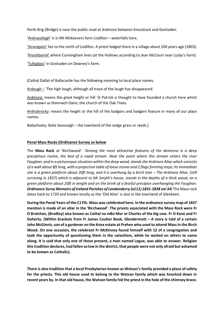Perth Brig (Bridge) is near the public road at Ardmore between Knocbrack and Goshaden.

'Ardnasallagh' is in Mt McKeevers farm Lisdillon – waterfalls here.

'Stranigaini' lies to the north of Lisdillon. A priest lodged there in a village about 100 years ago (1803).

'Knockbarrel' where Cunningham lives (at the Hollows according to Jean McCourt near Lusby's farm)

'Tullyglass' in Goshaden on Downey's farm.

(Cathal Dallat of Ballycastle has the following meaning to local place names.

Ardough – 'The high lough, although all trace of the lough has disappeared.

Ardmore: means the great height or hill. St Patrick is thought to have founded a church here which was known as Domnach Daire, the church of the Oak Trees.

Ardnabrocky: means the height or the hill of the badgers and badgers feature in many of our place names.

Ballyshasky: Baile Seascaigh – the townland of the sedge grass or reeds.)

## Penal Mass Rocks (Ordinance Survey as below

The Mass Rock at 'Birchwood'. 'Among the most attractive features of the demesne is a deep precipitous ravine, the bed of a rapid stream. Near the point where this stream enters the river Faughan, and in a picturesque situation within the deep wood, stands the Ardmore Altar which consists of a wall about 8ft long, with a projection table of loose stones and 2 flags forming steps; its immediate site is a green platform about 20ft long, and it is overhung by a birch tree – The Ardmore Altar, (still surviving in 1837) which is adjacent to Mr Smyth's house, stands in the depths of a thick wood, on a green platform about 20ft in length and on the brink of a fearful precipice overhanging the Faughan. Ordinance Survy Memoirs of Ireland Parishes of Londonderry (x111) 1831-1838 vol 34) The Mass rock dates back to 1720 and known locally as the 'Old Altar' is also in the townland of Glenkeen.

During the Penal Years of the C17th. Mass was celebrated here. In the ordinance survey map of 1837 mention is made of an altar in the 'Birchwood'. The priests associated with the Mass Rock were Fr O Brolchan, (Bradley) also known as Cathal na mBo Mor or Charles of the big cow. Fr O Kane and Fr Doherty. (Within brackets from Fr James Coulter Book, Glendermott – A story is told of a certain John McGinnis, son of a gardener on the Knox estate at Prehen who used to attend Mass in the Birch Wood. On one occasion, the celebrant Fr McKinney found himself with 12 of a congregation and took the opportunity of questioning them in the catechism, while he waited on others to come along. It is said that only one of those present, a man named Logue, was able to answer. Religion this tradition declares, had fallen so low in the district, that people were not only afraid but ashamed to be known as Catholic).

There is also tradition that a local Presbyterian known as Watson's family provided a place of safety for the priests. This old house used to belong to the Watson family which was knocked down in recent years by. In that old house, the Watson family hid the priest in the hole of the chimney brace.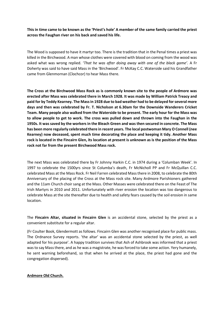This in time came to be known as the 'Priest's hole' A member of the same family carried the priest across the Faughan river on his back and saved his life.

The Wood is supposed to have it martyr too. There is the tradition that in the Penal times a priest was killed in the Birchwood. A man whose clothes were covered with blood on coming from the wood was asked what was wrong replied. 'That he was after doing away with one of the black game'. A Fr Doherty was said to have said Mass in the 'Birchwood'. Fr McKay C.C. Waterside said his Grandfather came from Glenmornan (Clochcor) to hear Mass there.

The Cross at the Birchwood Mass Rock as is commonly known site to the people of Ardmore was erected after Mass was celebrated there in March 1928. It was made by William Patrick Treacy and paid for by Teddy Kearney. The Mass in 1928 due to bad weather had to be delayed for several more days and then was celebrated by Fr. T. Nicholson at 6.30am for the Downside Wanderers Cricket Team. Many people also walked from the Waterside to be present. The early hour for the Mass was to allow people to get to work. The cross was pulled down and thrown into the Faughan in the 1950s. It was saved by the workers in the Bleach Green and was then secured in concrete. The Mass has been more regularly celebrated there in recent years. The local postwoman Mary O Connell (nee Kearney) now deceased, spent much time decorating the place and keeping it tidy. Another Mass rock is located in the Fincairn Glen, its location at present is unknown as is the position of the Mass rock not far from the present Birchwood Mass rock.

The next Mass was celebrated there by Fr Johnny Harkin C.C. in 1974 during a 'Columban Week'. In 1997 to celebrate the 1500yrs since St Columba's death, Fr McNicholl PP and Fr McQuillan C.C. celebrated Mass at the Mass Rock. Fr Neil Farren celebrated Mass there in 2008, to celebrate the 80th Anniversary of the placing of the Cross at the Mass rock site. Many Ardmore Parishioners gathered and the 11am Church choir sang at the Mass. Other Masses were celebrated there on the Feast of The Irish Martyrs in 2010 and 2011. Unfortunately with river erosion the location was too dangerous to celebrate Mass at the site thereafter due to health and safety fears caused by the soil erosion in same location.

The Fincairn Altar, situated in Fincairn Glen is an accidental stone, selected by the priest as a convenient substitute for a regular altar.

(Fr Coulter Book, Glendermott as follows. Fincairn Glen was another recognised place for public mass. The Ordnance Survey reports. 'the altar' was an accidental stone selected by the priest, as well adapted for his purpose'. A happy tradition survives that Ash of Ashbrook was informed that a priest was to say Mass there, and as he was a magistrate, he was forced to take some action. Yery humanely, he sent warning beforehand, so that when he arrived at the place, the priest had gone and the congregation dispersed).

## Ardmore Old Church.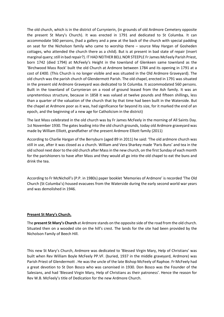The old church, which is in the district of Currynierin, (in grounds of old Ardmore Cemetery opposite the present St Mary's Church). It was erected in 1791 and dedicated to St Columba. It can accommodate 560 persons, (had a gallery and a pew at the back of the church with special padding on seat for the Nicholson family who came to worship there – source May Hargan of Gosheden cottages, who attended the church there as a child). But is at present in bad state of repair (insert marginal query; still in bad repair?). IT HAD NEITHER BELL NOR STEEPLE Fr James McFeely Parish Priest, born 1742 (died 1794) at McFeely's Height in the townland of Glenkeen same townland as the 'Birchwood Mass Rock' built the old Church at Ardmore between 1784 and its opening in 1791 at a cost of £400. (This Church is no longer visible and was situated in the Old Ardmore Graveyard). The old church was the parish church of Glendermott Parish. The old chapel, erected in 1791 was situated in the present old Ardmore Graveyard was dedicated to St Columba. It accommodated 560 persons. Built in the townland of Currynieran on a rood of ground leased from the Ash family. It was an unpretentious structure, because in 1858 it was valued at twelve pounds and fifteen shillings, less than a quarter of the valuation of the church that by that time had been built in the Waterside. But the chapel at Ardmore poor as it was, had significance far beyond its size, for it marked the end of an epoch, and the beginning of a new age for Catholicism in the district)

The last Mass celebrated in the old church was by Fr James McFeely in the morning of All Saints Day. 1st November 1930. The gates leading into the old church grounds, today old Ardmore graveyard was made by William Elliott, grandfather of the present Ardmore Elliott family (2011)

According to Charlie Hargan of the Berryburn (aged 89 in 2011) he said: 'The old ardmore church was still in use, after it was closed as a church. William and Vera Sharkey made 'Paris Buns' and tea in the old school next door to the old church after Mass in the new church, on the first Sunday of each month for the parishioners to have after Mass and they would all go into the old chapel to eat the buns and drink the tea.

According to Fr McNicholl's (P.P. in 1980s) paper booklet 'Memories of Ardmore' is recorded 'The Old Church (St Columba's) housed evacuees from the Waterside during the early second world war years and was demolished in 1946.

## Present St Mary's Church.

The present St Mary's Church at Ardmore stands on the opposite side of the road from the old church. Situated then on a wooded site on the hill's crest. The lands for the site had been provided by the Nicholson Family of Beech Hill.

This new St Mary's Church, Ardmore was dedicated to 'Blessed Virgin Mary, Help of Christians' was built when Rev William Boyle McFeely PP.VF. (buried, 1937 in the middle graveyard, Ardmore) was Parish Priest of Glendermott . He was the uncle of the late Bishop McFeely of Raphoe. Fr McFeely had a great devotion to St Don Bosco who was canonised in 1930. Don Bosco was the Founder of the Salesians, and had 'Blessed Virgin Mary, Help of Christians as their patroness'. Hence the reason for Rev W.B. McFeely's title of Dedication for the new Ardmore Church.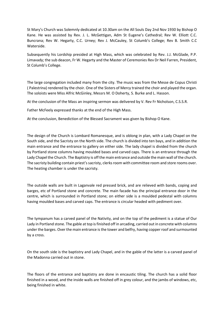St Mary's Church was Solemnly dedicated at 10.30am on the All Souls Day 2nd Nov 1930 by Bishop O Kane. He was assisted by Rev. J. L. McGettigan, Adm St Eugene's Cathedral; Rev W. Elliott C.C. Buncrana; Rev W. Hegarty, C.C. Urney; Rev J. McCauley, St Columb's College; Rev B. Smith C.C Waterside.

Subsequently his Lordship presided at High Mass, which was celebrated by Rev. J.J. McGlade, P.P. Limavady; the sub deacon, Fr W. Hegarty and the Master of Ceremonies Rev Dr Neil Farren, President, St Columb's College.

The large congregation included many from the city. The music was from the Messe de Copus Christi ( Palestrina) rendered by the choir. One of the Sisters of Mercy trained the choir and played the organ. The soloists were Miss Alfric McGinley, Messrs M. O Doherty, S. Burke and L. Hasson.

At the conclusion of the Mass an inspiring sermon was delivered by V. Rev Fr Nicholson, C.S.S.R.

Father McFeely expressed thanks at the end of the High Mass.

At the conclusion, Benediction of the Blessed Sacrament was given by Bishop O Kane.

The design of the Church is Lombard Romanesque, and is oblong in plan, with a Lady Chapel on the South side, and the Sacristy on the North side. The church is divided into ten bays, and in addition the main entrance and the entrance to gallery on either side. The lady chapel is divided from the church by Portland stone columns having moulded bases and carved caps. There is an entrance through the Lady Chapel the Church. The Baptistry is off the main entrance and outside the main wall of the church. The sacristy building contain priest's sacristy, clerks room with committee room and store rooms over. The heating chamber is under the sacristy.

The outside walls are built in Laganvale red pressed brick, and are relieved with bands, coping and barges, etc of Portland stone and concrete. The main facade has the principal entrance door in the centre, which is surrounded in Portland stone; on either side is a moulded pedestal with columns having moulded bases and carved caps. The entrance is circular headed with pediment over.

The tympanum has a carved panel of the Nativity, and on the top of the pediment is a statue of Our Lady in Portland stone. The gable at top is finished off in arcading, carried out in concrete with columns under the barges. Over the main entrance is the tower and belfry, having copper roof and surmounted by a cross.

On the south side is the baptistry and Lady Chapel, and in the gable of the latter is a carved panel of the Madonna carried out in stone.

The floors of the entrance and baptistry are done in encaustic tiling. The church has a solid floor finished in a wood, and the inside walls are finished off in grey colour, and the jambs of windows, etc, being finished in white.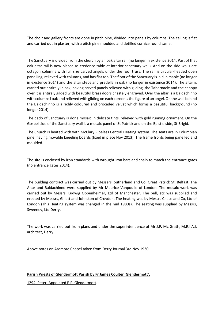The choir and gallery fronts are done in pitch pine, divided into panels by columns. The ceiling is flat and carried out in plaster, with a pitch pine moulded and detilled cornice round same.

The Sanctuary is divided from the church by an oak altar rail,(no longer in existence 2014. Part of that oak altar rail is now placed as credence table at interior sanctuary wall). And on the side walls are octagon columns with full size carved angels under the roof truss. The rail is circular-headed open panelling, relieved with columns, and has flat top. The floor of the Sanctuary is laid in maple (no longer in existence 2014) and the altar steps and predella in oak (no longer in existence 2014). The altar is carried out entirely in oak, having carved panels relieved with gilding, the Tabernacle and the canopy over it is entirely gilded with beautiful brass doors chastely engraved. Over the altar is a Baldachinno with columns i oak and relieved with gilding on each corner is the figure of an angel. On the wall behind the Baldachinno is a richly coloured and brocaded velvet which forms a beautiful background (no longer 2014).

The dado of Sanctuary is done mosaic in delicate tints, relieved with gold running ornament. On the Gospel side of the Sanctuary wall is a mosaic panel of St Patrick and on the Epistle side, St Brigid.

The Church is heated with with McClary Pipeless Central Heating system. The seats are in Columbian pine, having movable kneeling boards (fixed in place Nov 2013). The frame fronts being panelled and moulded.

The site is enclosed by iron standards with wrought iron bars and chain to match the entrance gates (no entrance gates 2014).

The building contract was carried out by Messers, Sutherland and Co. Great Patrick St. Belfast. The Altar and Baldachinno were supplied by Mr Maurice Vanpoulle of London. The mosaic work was carried out by Messrs, Ludwig Oppenheimer, Ltd of Manchester. The bell, etc was supplied and erected by Messrs, Gillett and Johnston of Croydon. The heating was by Messrs Chase and Co, Ltd of London (This Heating system was changed in the mid 1980s). The seating was supplied by Messrs, Sweeney, Ltd Derry.

The work was carried out from plans and under the superintendence of Mr J.P. Mc Grath, M.R.I.A.I. architect, Derry.

Above notes on Ardmore Chapel taken from Derry Journal 3rd Nov 1930.

## Parish Priests of Glendermott Parish by Fr James Coulter 'Glendermott'.

1294. Peter. Appointed P.P. Glendermott.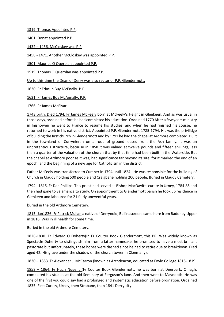1319. Thomas Appointed P.P.

1401. Donat appointed P.P.

1432 – 1456. McCloskey was P.P.

1458 - 1471. Another McCloskey was appointed P.P.

1501. Maurice O Querolan appointed P.P.

1519. Thomas O Querolan was appointed P.P.

Up to this time the Dean of Derry was also rector or P.P. Glendermott.

1630. Fr Edmun Buy McEnally. P.P.

1631. Fr James Boy McAnnally. P.P.

## 1766. Fr James McElvar

1743 birth. Died 1794. Fr James McFeely born at McFeely's Height in Glenkeen. And as was usual in those days, ordained before he had completed his education. Ordained 1770 After a few years ministry in Inishowen he went to France to resume his studies, and when he had finished his course, he returned to work in his native district. Appointed P.P. Glendermott 1785-1794. His was the privilidge of building the first church in Glendermott and by 1791 he had the chapel at Ardmore completed. Built in the townland of Currynieran on a rood of ground leased from the Ash family. It was an unpretentious structure, because in 1858 it was valued at twelve pounds and fifteen shillings, less than a quarter of the valuation of the church that by that time had been built in the Waterside. But the chapel at Ardmore poor as it was, had significance far beyond its size, for it marked the end of an epoch, and the beginning of a new age for Catholicism in the district.

Father McFeely was transferred to Cumber in 1794 until 1824.. He was responsible for the building of Church in Claudy holding 500 people and Craigbane holding 200 people. Buried in Claudy Cemetery.

1794 - 1815. Fr Dan Phillips: This priest had served as Bishop MacDavitts curate in Urney, 1784-85 and then had gone to Salamanca to study. On appointment to Glendermott parish he took up residence in Glenkeen and laboured for 21 fairly uneventful years.

buried in the old Ardmore Cemetery.

1815- Jan1826. Fr Patrick Mullan a native of Derrynoid, Ballinascreen, came here from Badoney Upper in 1816. Was in ill health for some time.

Buried in the old Ardmore Cemetery.

1826-1830. Fr Edward O Doherty(In Fr Coulter Book Glendermott, this PP. Was widely known as Spectacle Doherty to distinguish him from a latter namesake, he promised to have a most brilliant pastorate but unfortunately, these hopes were dashed since he had to retire due to breakdown. Died aged 42. His grave under the shadow of the church tower in Clonmany).

1830 – 1853. Fr Alexander J. McCarron (known as Archdeacon, educated at Foyle College 1815-1819.

1853 – 1864. Fr Hugh Nugent (Fr Coulter Book Glendermott, he was born at Deerpark, Omagh, completed his studies at the old Seminary at Ferguson's lane. And then went to Maynooth. He was one of the first you could say had a prolonged and systematic education before ordination. Ordained 1835. First Curacy, Urney, then Strabane, then 1841 Derry city.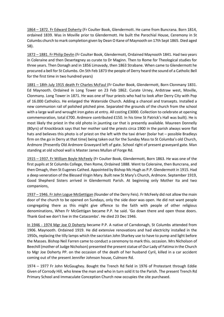1864 – 1872. Fr Edward Doherty (Fr Coulter Book, Glendermott. He came from Buncrana. Born 1814, ordained 1839. Was in Moville prior to Glendermott. He built the Parochial House, Ceremony in St Columbs church to mark completion given by Dean O Kane of Maynooth on 17th Sept 1865. Died aged 58).

1872 – 1881. Fr Philip Devlin (Fr Coulter Book, Glendermott, Ordained Maynooth 1841. Had two years in Coleraine and then Desertegney as curate to Dr Maginn. Then to Rome for Theological studies for three years. Then Donagh and in 1856 Limavady, then 1863 Strabane. When came to Glendermott he procured a bell for St Columbs. On 5th Feb 1873 the people of Derry heard the sound of a Catholic Bell for the first time in two hundred years)

1881 – 18th July 1915 death Fr Charles McFaul (Fr Coulter Book, Glendermott, Born Clonmany 1831. Ed Maynooth. Ordained in Long Tower on 23 Feb 1862. Curate Urney, Ardstraw west, Moville, Clonmany. Long Tower in 1871. He was one of four priests who had to look after Derry City with Pop of 16.000 Catholics. He enlarged the Waterside Church. Adding a chancel and transepts. Installed a new communion rail of polished pitched pine. Separated the grounds of the church from the school with a large wall and wrought iron gates at entry. All costing £3000. Collection to celebrate at opening commemoration, total £700. Ardmore contributed £150. In his time St Patrick's Hall was built). He is most likely the priest in the old photo in jaunting car that is presently available. Maureen Donnelly (80yrs) of Knockbrack says that her mother said the priests circa 1900 in the parish always wore flat hats and believes this photo is of priest on the left with the taxi driver (bolar hat – possible Bradleys firm on the go in Derry at that time) being taken out for the Sunday Mass to St Columba's old Church, Ardmore (Presently Old Ardmore Graveyard left of gate. School right of present graveyard gate. Man standing at old school wall is Master James Mullan of Forge Rd.

1915 – 1937. Fr William Boyle McFeely (Fr Coulter Book, Glendermott, Born 1863. He was one of the first pupils at St Columbs College, then Rome, Ordained 1888. Went to Coleraine, then Buncrana, and then Omagh, then St Eugenes Cathed. Appointed by Bishop Mc Hugh as P.P. Glendermott in 1915. Had a deep veneration of the Blessed Virgin Mary. Built new St Mary's Church, Ardmore. September 1919, Good Shepherd Sisters arrived in Glendermott Parish. At beginning only Mother Ita and two companions,

1937 – 1946. Fr John Logue McGettigan (founder of the Derry Feis). Fr McFeely did not allow the main door of the church to be opened on Sundays, only the side door was open. He did not want people congregating there as this might give offence to the faith with people of other religious denominations, When Fr McGettigan became P.P. he said. 'Go down there and open those doors. Thank God we don't live in the Catacombs'. He died 23 Dec 1946.

In 1946 - 1974 Mgr Joe O Doherty became P.P. A native of Carndonagh, St Columbs attended from 1906. Maynooth. Ordained 1919. He did extensive renovations and had electricity installed in the 1950s, replacing the tilly lamps which the sacristan John Sharkey use to have to pump and light before the Masses. Bishop Neil Farren came to conduct a ceremony to mark this. occasion. Mrs Nicholson of Beechill (mother of Judge Nicholson) presented the present statue of Our Lady of Fatima in the Church to Mgr Joe Doherty PP. on the occasion of the death of her husband Cyril, killed in a car accident coming out of the present Jennifer Johnson house, Culmore Rd.

1974 – 1977 Fr John McGaughey. Bought the Trench Rd field in 1976 of Protestant through Eddie Given of Corrody Hill, who knew the man and who in turn sold it to the Parish. The present Trench Rd Primary School and Immaculate Conception Church now occupies the site purchased.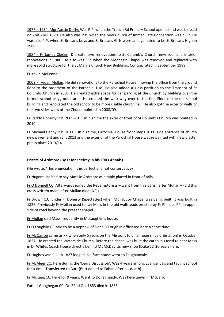1977 – 1984. Mgr Austin Duffy. Was P.P. when the Trench Rd Primary School opened and was blessed on 2nd April 1979. He also was P.P. when the new Church of Immaculate Conception was built. He was also P.P. when St Brecans boys and St Brecans Girls were amalgamated to be St Brecans High in 1980.

1984 - Fr James Clerkin. Did extensive renovations to St Columb's Church, new roof and interior renovations in 1986. He also was P.P. when the Mennesin Chapel was removed and replaced with more solid structure for the St Mary's Church New Buildings, Concsecrated in September 1999.

## Fr Kevin McKenna

2009 Fr Aidan Mullan. He did renovations to the Parochial House, moving the office from the ground floor to the basement of the Parochial Hse. He also added a glass partition to the Transept of St Columbs Church in 2007. He created extra space for car parking at the Church by building over the former school playground area. He created the walk way over to the first Floor of the old school building and renovated the old school to be more usable church hall. He also got the exterior walls of the two sides walls of the Church pointed in 2008/09.

Fr Paddy Doherty P.P. 2009-2011.In his time the exterior front of St Columb's Church was pointed in 2010.

Fr Michael Canny P.P. 2011 – In his time, Parochial House front steps 2011, side entrance of church new pavement and rails 2013 and the exterior of the Parochial House was re painted with new plaster put in place 2013/14

# Priests of Ardmore (By Fr McKeefrey in his 1903 Annals)

(He wrote, 'This enunciation is imperfect and not conservative)

Fr Nugent. He had to say Mass in Ardmore at a table placed in front of rails.

Fr O Donnell CC. Afterwards joined the Redemptorists – went from this parish after Mullan + (did this cross written mean after Mullan died (NF))

Fr Brown C.C. under Fr Doherty (Spectacles) when Mullabuoy Chapel was being built. It was built in 1826. Previously Fr Mullan used to say Mass in the old wallsteads erected by Fr Philipps PP. in upper side of road beyond the present chapel.

Fr Mullan said Mass frequently in McLaughlin's house.

Fr O Loughlin CC said to be a nephew of Dean O Loughlin officiated here a short time.

Fr McCarron came as PP when only 5 years on the Missions (did he mean since ordination) in October 1827. He erected the Waterside Church. Before the chapel was built the catholic's used to hear Mass in Dr Whites Coach House directly behind Mt McDevitts new shop (Duke St) 26 years here.

Fr Hughes was C.C. in 1827 lodged in a farmhouse went to Faughanvale.

Fr McAleer CC. Here during the 'Derry Discussion'. Was 4 years among Evangelicals and taught school for a time. Transferred to Burt (Burt added to Fahan after his death)

Fr McKeag CC. Here for 9 years. Went to Donagheady. Was here under Fr McCarron.

Father Geoghegan CC. On 22nd Oct 1853 died in 1865.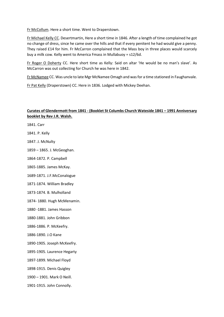Fr McCollum. Here a short time. Went to Draperstown.

Fr Michael Kelly CC. Desertmartin, Here a short time in 1846. After a length of time complained he got no change of dress, since he came over the hills and that if every penitent he had would give a penny. They raised £14 for him. Fr McCarron complained that the Mass boy in three places would scarcely buy a milk cow. Kelly went to America Fmass in Mullabuoy = s12/6d.

Fr Roger O Doherty CC. Here short time as Kelly: Said on altar 'He would be no man's slave'. As McCarron was out collecting for Church he was here in 1842.

Fr McNamee CC. Was uncle to late Mgr McNamee Omagh and was for a time stationed in Faughanvale.

Fr Pat Kelly (Draperstown) CC. Here in 1836. Lodged with Mickey Deehan.

# Curates of Glendermott from 1841 - (Booklet St Columbs Church Wateside 1841 – 1991 Anniversary booklet by Rev J.R. Walsh.

1841. Carr

1841. P. Kelly

1847. J. McNulty

1859 – 1865. J. McGeoghan.

1864-1872. P. Campbell

1865-1885. James McKay.

1689-1871. J.F.McConalogue

1871-1874. William Bradley

1873-1874. B. Mulholland

1874- 1880. Hugh McMenamin.

1880 -1881. James Hasson

1880-1881. John Gribbon

1886-1886. P. McKeefry.

1886-1890. J.O Kane

1890-1905. Joseph McKeefry.

1895-1905. Laurence Hegarty

1897-1899. Michael Floyd

1898-1915. Denis Quigley

1900 – 1901. Mark O Neill.

1901-1915. John Connolly.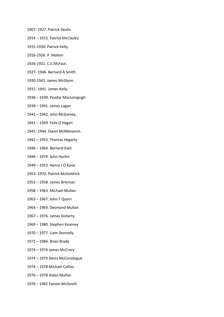- 1907- 1927. Patrick Devlin
- 1914 1915. Patrick McCauley
- 1915-1930. Patrick Kelly.
- 1916-1926. P. Mahon
- 1926-1931. C.E.McFaul.
- 1927- 1946. Bernard A Smith
- 1930-1941. James McGlynn
- 1931- 1941. James Kelly.
- 1938 1939. Peadar MacLoingsigh.
- 1939 1941. James Lagan
- 1941 1942. John McGarvey.
- 1941 1949. Felix O Hagan
- 1941- 1944. Owen McMenamin.
- 1942 1953. Thomas Hegarty
- 1946 1964. Bernard Kielt
- 1946 1974. John Harkin
- 1949 1953. Henry J O Kane
- 1953- 1970. Patrick McGoldrick
- 1953 1958. James Brennan
- 1958 1963. Michael Mullan
- 1963 1967. John T Quinn
- 1964 1969. Desmond Mullan
- 1967 1976. James Doherty
- 1969 1980. Stephen Kearney
- 1970 1977. Liam Donnelly
- 1972 1984. Brian Brady
- 1974 1974 James McCrory
- 1974 1979 Denis McConologue
- 1974 1978 Michael Collins
- 1976 1978 Aidan Mullan
- 1976 1982 Eamon McDevitt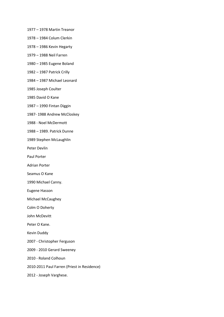- 1977 1978 Martin Treanor
- 1978 1984 Colum Clerkin
- 1978 1986 Kevin Hegarty
- 1979 1988 Neil Farren
- 1980 1985 Eugene Boland
- 1982 1987 Patrick Crilly
- 1984 1987 Michael Leonard
- 1985 Joseph Coulter
- 1985 David O Kane
- 1987 1990 Fintan Diggin
- 1987- 1988 Andrew McCloskey
- 1988 Noel McDermott
- 1988 1989. Patrick Dunne
- 1989 Stephen McLaughlin
- Peter Devlin
- Paul Porter
- Adrian Porter
- Seamus O Kane
- 1990 Michael Canny.
- Eugene Hasson
- Michael McCaughey
- Colm O Doherty
- John McDevitt
- Peter O Kane.
- Kevin Duddy
- 2007 Christopher Ferguson
- 2009 2010 Gerard Sweeney
- 2010 Roland Colhoun
- 2010-2011 Paul Farren (Priest in Residence)
- 2012 Joseph Varghese.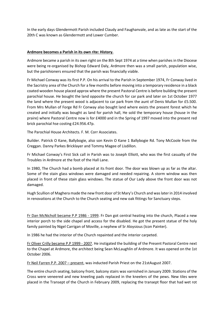In the early days Glendermott Parish included Claudy and Faughanvale, and as late as the start of the 20th C was known as Glendermott and Lower Cumber.

## Ardmore becomes a Parish in its own rite: History.

Ardmore became a parish in its own right on the 8th Sept 1974 at a time when parishes in the Diocese were being re-organised by Bishop Edward Daly, Ardmore then was a small parish, population wise, but the parishioners ensured that the parish was financially viable.

Fr Michael Conway was its first P.P. On his arrival to the Parish in September 1974, Fr Conway lived in the Sacristry area of the Church for a few months before moving into a temporary residence in a black coated wooden house placed approx where the present Pastoral Centre is before building the present parochial house. He bought the land opposite the church for car park and later on 1st October 1977 the land where the present wood is adjacent to car park from the aunt of Denis Mullan for £5.500. From Mrs Mullan of Forge Rd Fr Conway also bought land where exists the present forest which he created and initially was bought as land for parish hall, He sold the temporary house (house in the praire) where Pastoral Centre now is for £4000 and in the Spring of 1997 moved into the present red brick parochial hse costing £24.956.47p.

The Parochial House Architects. F. M. Corr Associates.

Builder. Patrick O Kane, Ballybogie, also son Kevin O Kane 1 Ballybogie Rd. Tony McCoole from the Creggan. Danny Parkes Bricklayer and Tommy Magee of Lisdillon.

Fr Michael Conway's First Sick call in Parish was to Joseph Elliott, who was the first casualty of the Troubles in Ardmore at the foot of the Hall Lane.

In 1980, The Church had a bomb placed at its front door. The door was blown up as far as the altar. Some of the stain glass windows were damaged and needed repairing. A storm window was then placed in front of these stain glass windows. The statue of Our Lady above the front door was not damaged.

Hugh Scullion of Maghera made the new front door of St Mary's Church and was later in 2014 involved in renovations at the Church to the Church seating and new oak fittings for Sanctuary steps.

Fr Dan McNicholl became P.P 1986 - 1999. Fr Dan got central heating into the church, Placed a new interior porch to the side chapel and access for the disabled. He got the present statue of the holy family painted by Nigel Carrigan of Moville, a nephew of Sr Aloysious (Icon Painter).

In 1986 he had the interior of the Church repainted and the interior carpeted.

Fr Oliver Crilly became P.P 1999 - 2007. He instigated the building of the Present Pastoral Centre next to the Chapel at Ardmore, the architect being Sean McLaughlin of Ardmore. It was opened on the 1st October 2006.

Fr Neil Farren P.P. 2007 – present, was inducted Parish Priest on the 21stAugust 2007.

The entire church seating, balcony front, balcony stairs was varnished in January 2009. Stations of the Cross were veneered and new kneeling pads replaced in the kneelers of the pews. New tiles were placed in the Transept of the Church in February 2009, replacing the transept floor that had wet rot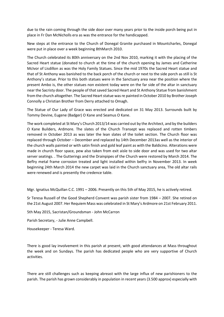due to the rain coming through the side door over many years prior to the inside porch being put in place in Fr Dan McNicholls era as was the entrance for the handicapped.

New steps at the entrance to the Church of Donegal Granite purchased in Mountcharles, Donegal were put in place over a week beginning 8thMarch 2010.

The Church celebrated its 80th anniversary on the 2nd Nov 2010, marking it with the placing of the Sacred Heart statue (donated to church at the time of the church opening by James and Catherine McIvor of Lisdillon as was the Holy Family Statues. Since the mid 1970s the Sacred Heart statue and that of St Anthony was banished to the back porch of the church or next to the side porch as still is St Anthony's statue. Prior to this both statues were in the Sanctuary area near the position where the present Ambo is, the other statues non existent today were on the far side of the altar in sanctuary near the Sacristy door. The people of that saved Sacred Heart and St Anthony Statue from banishment from the church altogether. The Sacred Heart statue was re painted in October 2010 by Brother Joseph Connolly a Christian Brother from Derry attached to Omagh.

The Statue of Our Lady of Grace was erected and dedicated on 31 May 2013. Surrounds built by Tommy Devine, Eugene (Badger) O Kane and Seamus O Kane.

The work completed at St Mary's Church 2013/14 was carried out by the Architect, and by the builders O Kane Builders, Ardmore. The slates of the Church Transept was replaced and rotten timbers removed in October 2013 as was later the lean slates of the toilet section. The Church floor was replaced through October – December and replaced by 14th December 2013as well as the interior of the church walls painted or with satin finish and gold leaf paint as with the Baldicino. Alterations were made in church floor space, pew also taken from exit aisle to side door and was used for two altar server seatings. . The Gutterings and the Drainpipes of the Church were restored by March 2014. The Beflry metal frame corrosion treated and light installed within belfry in November 2013. In week beginning 24th March 2014 the new carpet was laid in the Church sanctuary area, The old altar rails were renewed and is presently the credence table.

Mgr. Ignatius McQuillan C.C. 1991 – 2006. Presently on this 5th of May 2015, he is actively retired.

Sr Teresa Russell of the Good Shepherd Convent was parish sister from 1984 – 2007. She retired on the 21st August 2007. Her Requiem Mass was celebrated in St Mary's Ardmore on 21st February 2011.

5th May 2015, Sacristan/Groundsman - John McCarron

Parish Secretary, - Julie Anne Campbell.

Housekeeper - Teresa Ward.

There is good lay involvement in this parish at present, with good attendances at Mass throughout the week and on Sundays. The parish has dedicated people who are very supportive of Church activities.

There are still challenges such as keeping abreast with the large influx of new parishioners to the parish. The parish has grown considerably in population in recent years (3.500 approx) especially with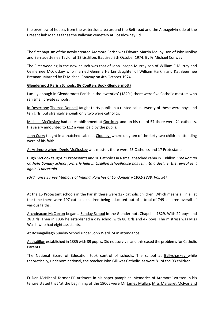the overflow of houses from the waterside area around the Belt road and the Altnagelvin side of the Cresent link road as far as the Ballyoan cemetery at Rossdowney Rd.

The first baptism of the newly created Ardmore Parish was Edward Martin Molloy, son of John Molloy and Bernadette nee Taylor of 12 Lisdillon. Baptised 5th October 1974. By Fr Michael Conway.

The First wedding in the new church was that of John Joseph Murray son of William F Murray and Celine nee McCloskey who married Gemma Harkin daughter of William Harkin and Kathleen nee Brennan. Married by Fr Michael Conway on 4th October 1974.

## Glendermott Parish Schools. (Fr Coulters Book Glendermott)

Luckily enough in Glendermott Parish in the 'twenties' (1820s) there were five Catholic masters who ran small private schools.

In Desertone Thomas Donnell taught thirty pupils in a rented cabin, twenty of these were boys and ten girls, but strangely enough only two were catholics.

Michael McCloskey had an establishment at Gortican, and on his roll of 57 there were 21 catholics. His salary amounted to £12 a year, paid by the pupils.

John Curry taught in a thatched cabin at Clooney, where only ten of the forty two children attending were of his faith.

At Ardmore where Denis McCloskey was master, there were 25 Catholics and 17 Protestants.

Hugh McCook taught 21 Protestants and 10 Catholics in a small thatched cabin in Lisdillon. 'The Roman Catholic Sunday School formerly held in Lisdillon schoolhouse has fell into a decline; the revival of it again is uncertain.

(Ordinance Survey Memoirs of Ireland, Parishes of Londonderry 1831-1838. Vol. 34).

At the 15 Protestant schools in the Parish there were 127 catholic children. Which means all in all at the time there were 197 catholic children being educated out of a total of 749 children overall of various faiths.

Archdeacon McCarron began a Sunday School in the Glendermott Chapel in 1829. With 22 boys and 28 girls. Then in 1836 he established a day school with 80 girls and 47 boys. The mistress was Miss Walsh who had eight assistants.

At Rosnagalliagh Sunday School under John Ward 24 in attendance.

At Lisdillon established in 1835 with 39 pupils. Did not survive. and this eased the problems for Catholic Parents.

The National Board of Education took control of schools. The school at Ballyshaskey while theoretically, undenominational, the teacher John Gill was Catholic, as were 81 of the 93 children.

Fr Dan McNicholl former PP Ardmore in his paper pamphlet 'Memories of Ardmore' written in his tenure stated that 'at the beginning of the 1900s were Mr James Mullan. Miss Margaret McIvor and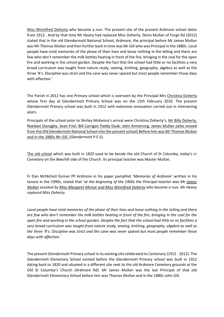Miss Winnifred Doherty who became a nun. The present site of the present Ardmore school dates from 1912 . And by that time Mr Heany had replaced Miss Doherty. Denis Mullan of Forge Rd (2012) stated that in the old Glendermott National School, Ardmore, the principal before Mr James Mullan was Mr Thomas Mullan and then further back in time was Mr Gill who was Principal in the 1880s. Local people have vivid memories of the phase of their lives and loose nothing in the telling and there are few who don't remember the milk bottles heating in front of the fire, bringing in the coal for the open fire and working in the school garden. Despite the fact that the school had little or no facilities a very broad curriculum was taught from nature study, sewing, knitting, geography, algebra as well as the three 'R's. Discipline was strict and the cane was never spared but most people remember those days with affection.'

The Parish in 2012 has one Primary school which is overseen by the Principal Mrs Christina Doherty whose first day at Glendermott Primary School was on the 15th February 2010. The present Glendermott Primary school was built in 1912 with extensive renovation carried out in intervening years.

Principals of the school prior to Shirley McKenna's arrival were Christina Doherty's, Mr Billy Doherty, Noeleen Donaghy: Sean Friel: Bill Carrigan Paddy Doak: John Armstrong. James Mullan (who moved from the Old Glendermott National School into the present school) Before him was Mr Thomas Mullan and in the 1880s Mr Gill. (Glendermott P.E.S).

The old school which was built in 1820 used to be beside the old Church of St Columba, today's Lr Cemetery on the Beechill side of the Church. Its principal teacher was Master Mullan,

Fr Dan McNicholl former PP Ardmore in his paper pamphlet 'Memories of Ardmore' written in his tenure in the 1990s, stated that 'at the beginning of the 1900s the Principal teacher was Mr James Mullan assisted by Miss Margaret McIvor and Miss Winnifred Doherty who became a nun. Mr Heany replaced Miss Doherty.

Local people have vivid memories of the phase of their lives and loose nothing in the telling and there are few who don't remember the milk bottles heating in front of the fire, bringing in the coal for the open fire and working in the school garden. Despite the fact that the school had little or no facilities a very broad curriculum was taught from nature study, sewing, knitting, geography, algebra as well as the three 'R's. Discipline was strict and the cane was never spared but most people remember those days with affection.'

The present Glendermott Primary school in its existing site celebrated its Centenary (1912 - 2012). The Glendermott Elemenary School existed before the Glendermott Primary school was built in 1912 dating back to 1820 and situated in a different site next to the old Ardmore Cemetery grounds at the Old St Columba's Church (Ardmore Rd). Mr James Mullan was the last Principal of that old Glendermott Elementary School before him was Thomas Mullan and in the 1880s John Gill.